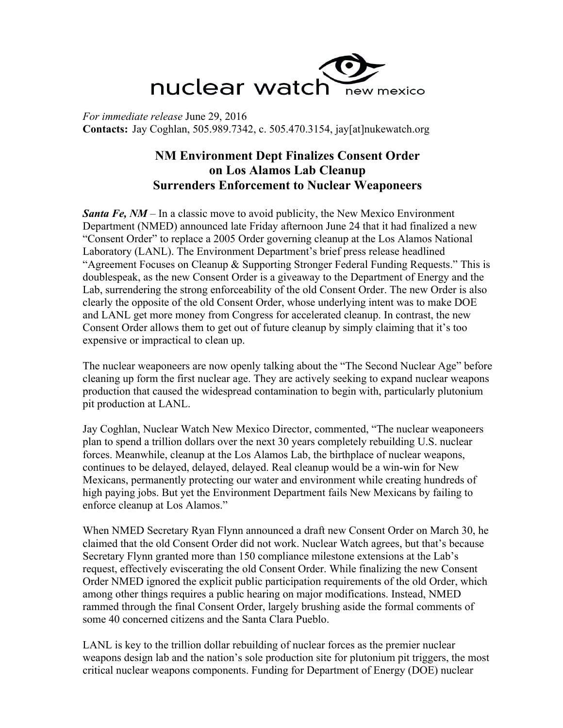

*For immediate release* June 29, 2016 **Contacts:** Jay Coghlan, 505.989.7342, c. 505.470.3154, jay[at]nukewatch.org

## **NM Environment Dept Finalizes Consent Order on Los Alamos Lab Cleanup Surrenders Enforcement to Nuclear Weaponeers**

*Santa Fe, NM* – In a classic move to avoid publicity, the New Mexico Environment Department (NMED) announced late Friday afternoon June 24 that it had finalized a new "Consent Order" to replace a 2005 Order governing cleanup at the Los Alamos National Laboratory (LANL). The Environment Department's brief press release headlined "Agreement Focuses on Cleanup & Supporting Stronger Federal Funding Requests." This is doublespeak, as the new Consent Order is a giveaway to the Department of Energy and the Lab, surrendering the strong enforceability of the old Consent Order. The new Order is also clearly the opposite of the old Consent Order, whose underlying intent was to make DOE and LANL get more money from Congress for accelerated cleanup. In contrast, the new Consent Order allows them to get out of future cleanup by simply claiming that it's too expensive or impractical to clean up.

The nuclear weaponeers are now openly talking about the "The Second Nuclear Age" before cleaning up form the first nuclear age. They are actively seeking to expand nuclear weapons production that caused the widespread contamination to begin with, particularly plutonium pit production at LANL.

Jay Coghlan, Nuclear Watch New Mexico Director, commented, "The nuclear weaponeers plan to spend a trillion dollars over the next 30 years completely rebuilding U.S. nuclear forces. Meanwhile, cleanup at the Los Alamos Lab, the birthplace of nuclear weapons, continues to be delayed, delayed, delayed. Real cleanup would be a win-win for New Mexicans, permanently protecting our water and environment while creating hundreds of high paying jobs. But yet the Environment Department fails New Mexicans by failing to enforce cleanup at Los Alamos."

When NMED Secretary Ryan Flynn announced a draft new Consent Order on March 30, he claimed that the old Consent Order did not work. Nuclear Watch agrees, but that's because Secretary Flynn granted more than 150 compliance milestone extensions at the Lab's request, effectively eviscerating the old Consent Order. While finalizing the new Consent Order NMED ignored the explicit public participation requirements of the old Order, which among other things requires a public hearing on major modifications. Instead, NMED rammed through the final Consent Order, largely brushing aside the formal comments of some 40 concerned citizens and the Santa Clara Pueblo.

LANL is key to the trillion dollar rebuilding of nuclear forces as the premier nuclear weapons design lab and the nation's sole production site for plutonium pit triggers, the most critical nuclear weapons components. Funding for Department of Energy (DOE) nuclear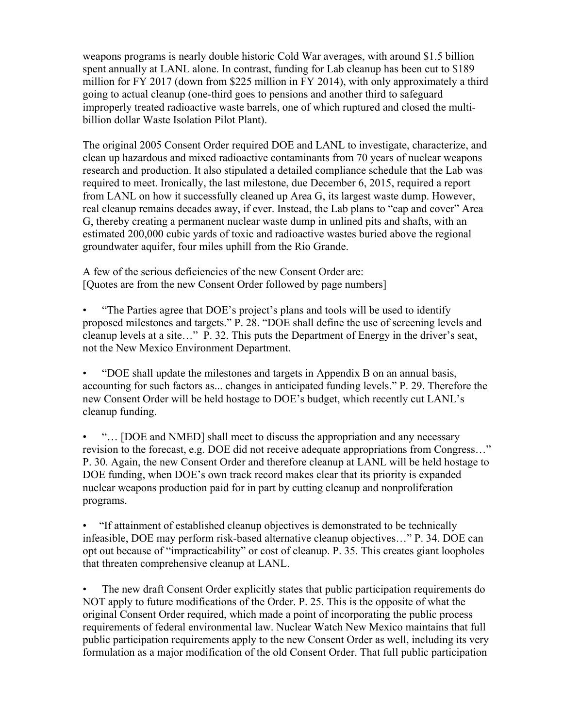weapons programs is nearly double historic Cold War averages, with around \$1.5 billion spent annually at LANL alone. In contrast, funding for Lab cleanup has been cut to \$189 million for FY 2017 (down from \$225 million in FY 2014), with only approximately a third going to actual cleanup (one-third goes to pensions and another third to safeguard improperly treated radioactive waste barrels, one of which ruptured and closed the multibillion dollar Waste Isolation Pilot Plant).

The original 2005 Consent Order required DOE and LANL to investigate, characterize, and clean up hazardous and mixed radioactive contaminants from 70 years of nuclear weapons research and production. It also stipulated a detailed compliance schedule that the Lab was required to meet. Ironically, the last milestone, due December 6, 2015, required a report from LANL on how it successfully cleaned up Area G, its largest waste dump. However, real cleanup remains decades away, if ever. Instead, the Lab plans to "cap and cover" Area G, thereby creating a permanent nuclear waste dump in unlined pits and shafts, with an estimated 200,000 cubic yards of toxic and radioactive wastes buried above the regional groundwater aquifer, four miles uphill from the Rio Grande.

A few of the serious deficiencies of the new Consent Order are: [Quotes are from the new Consent Order followed by page numbers]

• "The Parties agree that DOE's project's plans and tools will be used to identify proposed milestones and targets." P. 28. "DOE shall define the use of screening levels and cleanup levels at a site…" P. 32. This puts the Department of Energy in the driver's seat, not the New Mexico Environment Department.

• "DOE shall update the milestones and targets in Appendix B on an annual basis, accounting for such factors as... changes in anticipated funding levels." P. 29. Therefore the new Consent Order will be held hostage to DOE's budget, which recently cut LANL's cleanup funding.

• "... [DOE and NMED] shall meet to discuss the appropriation and any necessary revision to the forecast, e.g. DOE did not receive adequate appropriations from Congress…" P. 30. Again, the new Consent Order and therefore cleanup at LANL will be held hostage to DOE funding, when DOE's own track record makes clear that its priority is expanded nuclear weapons production paid for in part by cutting cleanup and nonproliferation programs.

• "If attainment of established cleanup objectives is demonstrated to be technically infeasible, DOE may perform risk-based alternative cleanup objectives…" P. 34. DOE can opt out because of "impracticability" or cost of cleanup. P. 35. This creates giant loopholes that threaten comprehensive cleanup at LANL.

• The new draft Consent Order explicitly states that public participation requirements do NOT apply to future modifications of the Order. P. 25. This is the opposite of what the original Consent Order required, which made a point of incorporating the public process requirements of federal environmental law. Nuclear Watch New Mexico maintains that full public participation requirements apply to the new Consent Order as well, including its very formulation as a major modification of the old Consent Order. That full public participation